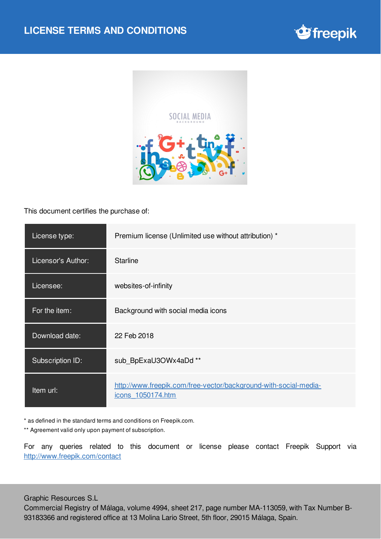



This document certifies the purchase of:

| License type:      | Premium license (Unlimited use without attribution) *                                 |
|--------------------|---------------------------------------------------------------------------------------|
| Licensor's Author: | <b>Starline</b>                                                                       |
| Licensee:          | websites-of-infinity                                                                  |
| For the item:      | Background with social media icons                                                    |
| Download date:     | 22 Feb 2018                                                                           |
| Subscription ID:   | sub_BpExaU3OWx4aDd **                                                                 |
| Item url:          | http://www.freepik.com/free-vector/background-with-social-media-<br>icons 1050174.htm |

\* as defined in the standard terms and conditions on Freepik.com.

\*\* Agreement valid only upon payment of subscription.

For any queries related to this document or license please contact Freepik Support via <http://www.freepik.com/contact>

Graphic Resources S.L

Commercial Registry of Málaga, volume 4994, sheet 217, page number MA-113059, with Tax Number B-93183366 and registered office at 13 Molina Lario Street, 5th floor, 29015 Málaga, Spain.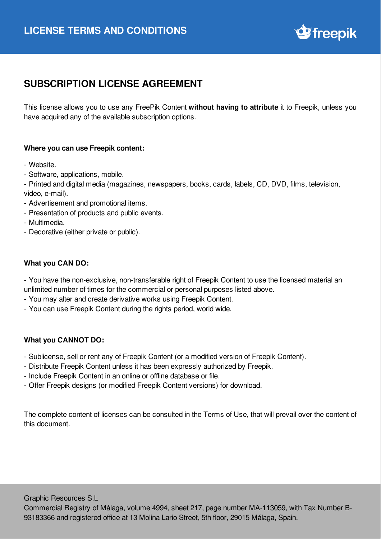

## **SUBSCRIPTION LICENSE AGREEMENT**

This license allows you to use any FreePik Content **without having to attribute** it to Freepik, unless you have acquired any of the available subscription options.

## **Where you can use Freepik content:**

- Website.
- Software, applications, mobile.

- Printed and digital media (magazines, newspapers, books, cards, labels, CD, DVD, films, television, video, e-mail).

- Advertisement and promotional items.
- Presentation of products and public events.
- Multimedia.
- Decorative (either private or public).

## **What you CAN DO:**

- You have the non-exclusive, non-transferable right of Freepik Content to use the licensed material an unlimited number of times for the commercial or personal purposes listed above.

- You may alter and create derivative works using Freepik Content.
- You can use Freepik Content during the rights period, world wide.

## **What you CANNOT DO:**

- Sublicense, sell or rent any of Freepik Content (or a modified version of Freepik Content).
- Distribute Freepik Content unless it has been expressly authorized by Freepik.
- Include Freepik Content in an online or offline database or file.
- Offer Freepik designs (or modified Freepik Content versions) for download.

The complete content of licenses can be consulted in the Terms of Use, that will prevail over the content of this document.

Graphic Resources S.L

Commercial Registry of Málaga, volume 4994, sheet 217, page number MA-113059, with Tax Number B-93183366 and registered office at 13 Molina Lario Street, 5th floor, 29015 Málaga, Spain.